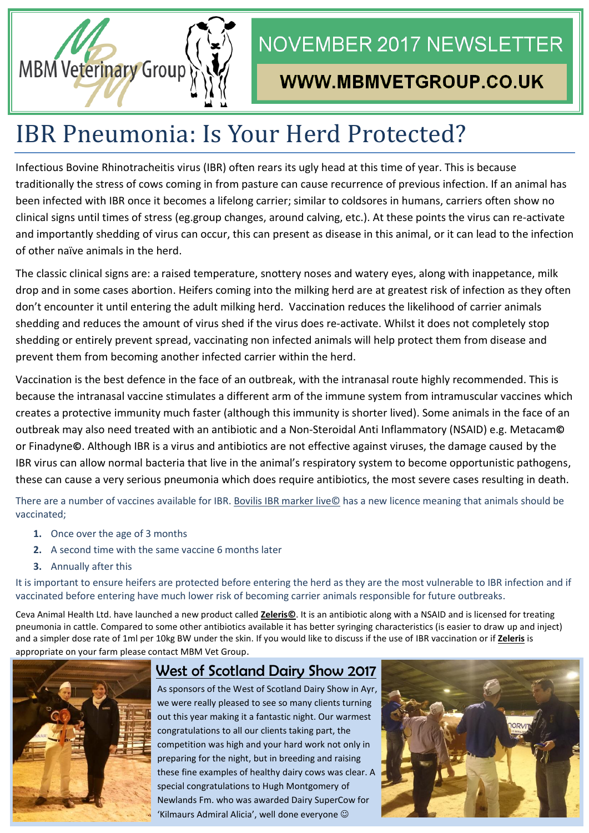

## **NOVEMBER 2017 NEWSLETTER**

## WWW.MBMVETGROUP.CO.UK

# IBR Pneumonia: Is Your Herd Protected?

Infectious Bovine Rhinotracheitis virus (IBR) often rears its ugly head at this time of year. This is because traditionally the stress of cows coming in from pasture can cause recurrence of previous infection. If an animal has been infected with IBR once it becomes a lifelong carrier; similar to coldsores in humans, carriers often show no clinical signs until times of stress (eg.group changes, around calving, etc.). At these points the virus can re-activate and importantly shedding of virus can occur, this can present as disease in this animal, or it can lead to the infection of other naïve animals in the herd.

The classic clinical signs are: a raised temperature, snottery noses and watery eyes, along with inappetance, milk drop and in some cases abortion. Heifers coming into the milking herd are at greatest risk of infection as they often don't encounter it until entering the adult milking herd. Vaccination reduces the likelihood of carrier animals shedding and reduces the amount of virus shed if the virus does re-activate. Whilst it does not completely stop shedding or entirely prevent spread, vaccinating non infected animals will help protect them from disease and prevent them from becoming another infected carrier within the herd.

Vaccination is the best defence in the face of an outbreak, with the intranasal route highly recommended. This is because the intranasal vaccine stimulates a different arm of the immune system from intramuscular vaccines which creates a protective immunity much faster (although this immunity is shorter lived). Some animals in the face of an outbreak may also need treated with an antibiotic and a Non-Steroidal Anti Inflammatory (NSAID) e.g. Metacam**©** or Finadyne**©**. Although IBR is a virus and antibiotics are not effective against viruses, the damage caused by the IBR virus can allow normal bacteria that live in the animal's respiratory system to become opportunistic pathogens, these can cause a very serious pneumonia which does require antibiotics, the most severe cases resulting in death.

There are a number of vaccines available for IBR. Bovilis IBR marker live© has a new licence meaning that animals should be vaccinated;

- **1.** Once over the age of 3 months
- **2.** A second time with the same vaccine 6 months later
- **3.** Annually after this

It is important to ensure heifers are protected before entering the herd as they are the most vulnerable to IBR infection and if vaccinated before entering have much lower risk of becoming carrier animals responsible for future outbreaks.

Ceva Animal Health Ltd. have launched a new product called **Zeleris©**. It is an antibiotic along with a NSAID and is licensed for treating pneumonia in cattle. Compared to some other antibiotics available it has better syringing characteristics (is easier to draw up and inject) and a simpler dose rate of 1ml per 10kg BW under the skin. If you would like to discuss if the use of IBR vaccination or if **Zeleris** is appropriate on your farm please contact MBM Vet Group.



### West of Scotland Dairy Show 2017

As sponsors of the West of Scotland Dairy Show in Ayr, we were really pleased to see so many clients turning out this year making it a fantastic night. Our warmest congratulations to all our clients taking part, the competition was high and your hard work not only in preparing for the night, but in breeding and raising these fine examples of healthy dairy cows was clear. A special congratulations to Hugh Montgomery of Newlands Fm. who was awarded Dairy SuperCow for 'Kilmaurs Admiral Alicia', well done everyone